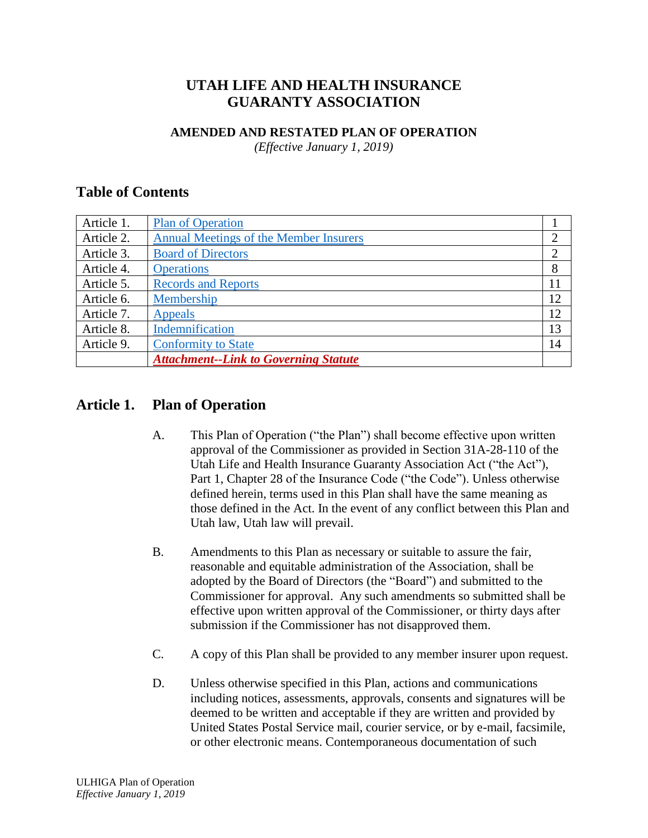# **UTAH LIFE AND HEALTH INSURANCE GUARANTY ASSOCIATION**

#### **AMENDED AND RESTATED PLAN OF OPERATION**

*(Effective January 1, 2019)*

### **Table of Contents**

| Article 1. | <b>Plan of Operation</b>                      |    |
|------------|-----------------------------------------------|----|
| Article 2. | <b>Annual Meetings of the Member Insurers</b> |    |
| Article 3. | <b>Board of Directors</b>                     |    |
| Article 4. | <b>Operations</b>                             | 8  |
| Article 5. | <b>Records and Reports</b>                    | 11 |
| Article 6. | Membership                                    | 12 |
| Article 7. | Appeals                                       | 12 |
| Article 8. | Indemnification                               | 13 |
| Article 9. | <b>Conformity to State</b>                    | 14 |
|            | <b>Attachment--Link to Governing Statute</b>  |    |

### <span id="page-0-0"></span>**Article 1. Plan of Operation**

- A. This Plan of Operation ("the Plan") shall become effective upon written approval of the Commissioner as provided in Section 31A-28-110 of the Utah Life and Health Insurance Guaranty Association Act ("the Act"), Part 1, Chapter 28 of the Insurance Code ("the Code"). Unless otherwise defined herein, terms used in this Plan shall have the same meaning as those defined in the Act. In the event of any conflict between this Plan and Utah law, Utah law will prevail.
- B. Amendments to this Plan as necessary or suitable to assure the fair, reasonable and equitable administration of the Association, shall be adopted by the Board of Directors (the "Board") and submitted to the Commissioner for approval. Any such amendments so submitted shall be effective upon written approval of the Commissioner, or thirty days after submission if the Commissioner has not disapproved them.
- C. A copy of this Plan shall be provided to any member insurer upon request.
- D. Unless otherwise specified in this Plan, actions and communications including notices, assessments, approvals, consents and signatures will be deemed to be written and acceptable if they are written and provided by United States Postal Service mail, courier service, or by e-mail, facsimile, or other electronic means. Contemporaneous documentation of such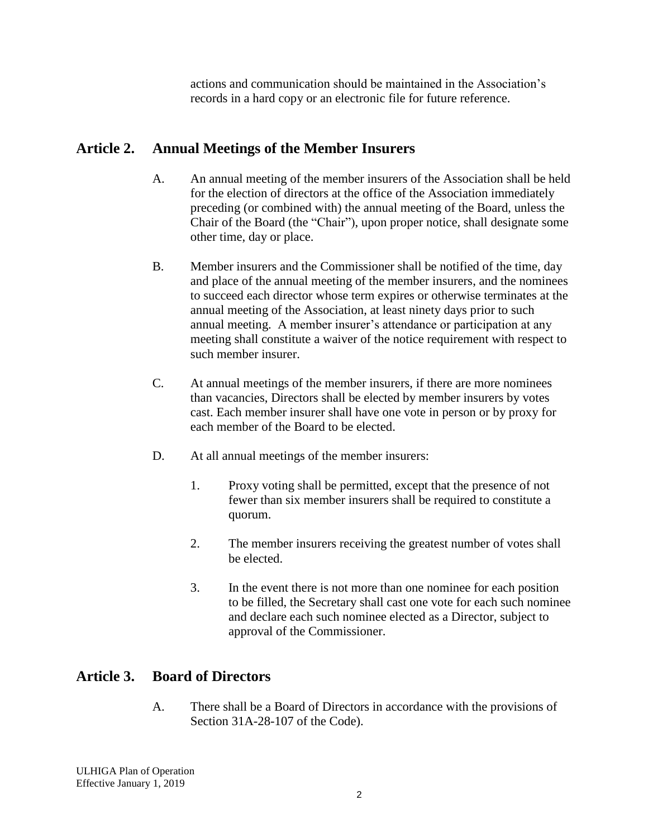actions and communication should be maintained in the Association's records in a hard copy or an electronic file for future reference.

## <span id="page-1-0"></span>**Article 2. Annual Meetings of the Member Insurers**

- A. An annual meeting of the member insurers of the Association shall be held for the election of directors at the office of the Association immediately preceding (or combined with) the annual meeting of the Board, unless the Chair of the Board (the "Chair"), upon proper notice, shall designate some other time, day or place.
- B. Member insurers and the Commissioner shall be notified of the time, day and place of the annual meeting of the member insurers, and the nominees to succeed each director whose term expires or otherwise terminates at the annual meeting of the Association, at least ninety days prior to such annual meeting. A member insurer's attendance or participation at any meeting shall constitute a waiver of the notice requirement with respect to such member insurer.
- C. At annual meetings of the member insurers, if there are more nominees than vacancies, Directors shall be elected by member insurers by votes cast. Each member insurer shall have one vote in person or by proxy for each member of the Board to be elected.
- D. At all annual meetings of the member insurers:
	- 1. Proxy voting shall be permitted, except that the presence of not fewer than six member insurers shall be required to constitute a quorum.
	- 2. The member insurers receiving the greatest number of votes shall be elected.
	- 3. In the event there is not more than one nominee for each position to be filled, the Secretary shall cast one vote for each such nominee and declare each such nominee elected as a Director, subject to approval of the Commissioner.

# <span id="page-1-1"></span>**Article 3. Board of Directors**

A. There shall be a Board of Directors in accordance with the provisions of Section 31A-28-107 of the Code).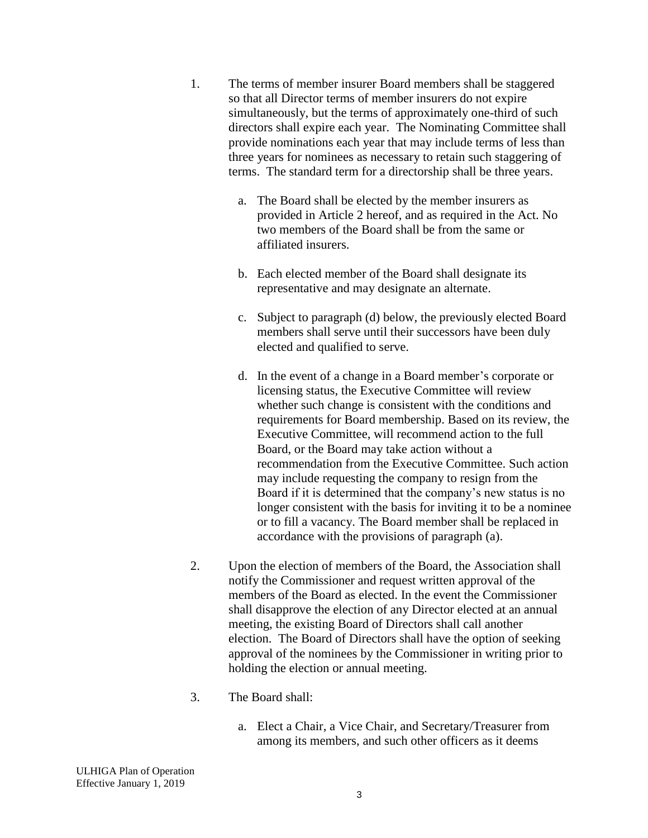- 1. The terms of member insurer Board members shall be staggered so that all Director terms of member insurers do not expire simultaneously, but the terms of approximately one-third of such directors shall expire each year. The Nominating Committee shall provide nominations each year that may include terms of less than three years for nominees as necessary to retain such staggering of terms. The standard term for a directorship shall be three years.
	- a. The Board shall be elected by the member insurers as provided in Article 2 hereof, and as required in the Act. No two members of the Board shall be from the same or affiliated insurers.
	- b. Each elected member of the Board shall designate its representative and may designate an alternate.
	- c. Subject to paragraph (d) below, the previously elected Board members shall serve until their successors have been duly elected and qualified to serve.
	- d. In the event of a change in a Board member's corporate or licensing status, the Executive Committee will review whether such change is consistent with the conditions and requirements for Board membership. Based on its review, the Executive Committee, will recommend action to the full Board, or the Board may take action without a recommendation from the Executive Committee. Such action may include requesting the company to resign from the Board if it is determined that the company's new status is no longer consistent with the basis for inviting it to be a nominee or to fill a vacancy. The Board member shall be replaced in accordance with the provisions of paragraph (a).
- 2. Upon the election of members of the Board, the Association shall notify the Commissioner and request written approval of the members of the Board as elected. In the event the Commissioner shall disapprove the election of any Director elected at an annual meeting, the existing Board of Directors shall call another election. The Board of Directors shall have the option of seeking approval of the nominees by the Commissioner in writing prior to holding the election or annual meeting.
- 3. The Board shall:
	- a. Elect a Chair, a Vice Chair, and Secretary/Treasurer from among its members, and such other officers as it deems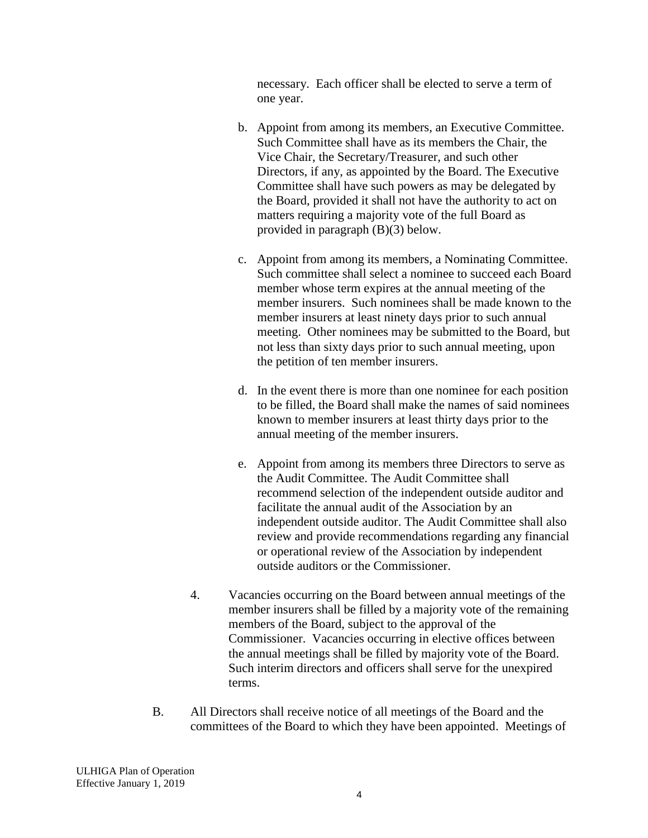necessary. Each officer shall be elected to serve a term of one year.

- b. Appoint from among its members, an Executive Committee. Such Committee shall have as its members the Chair, the Vice Chair, the Secretary/Treasurer, and such other Directors, if any, as appointed by the Board. The Executive Committee shall have such powers as may be delegated by the Board, provided it shall not have the authority to act on matters requiring a majority vote of the full Board as provided in paragraph (B)(3) below.
- c. Appoint from among its members, a Nominating Committee. Such committee shall select a nominee to succeed each Board member whose term expires at the annual meeting of the member insurers. Such nominees shall be made known to the member insurers at least ninety days prior to such annual meeting. Other nominees may be submitted to the Board, but not less than sixty days prior to such annual meeting, upon the petition of ten member insurers.
- d. In the event there is more than one nominee for each position to be filled, the Board shall make the names of said nominees known to member insurers at least thirty days prior to the annual meeting of the member insurers.
- e. Appoint from among its members three Directors to serve as the Audit Committee. The Audit Committee shall recommend selection of the independent outside auditor and facilitate the annual audit of the Association by an independent outside auditor. The Audit Committee shall also review and provide recommendations regarding any financial or operational review of the Association by independent outside auditors or the Commissioner.
- 4. Vacancies occurring on the Board between annual meetings of the member insurers shall be filled by a majority vote of the remaining members of the Board, subject to the approval of the Commissioner. Vacancies occurring in elective offices between the annual meetings shall be filled by majority vote of the Board. Such interim directors and officers shall serve for the unexpired terms.
- B. All Directors shall receive notice of all meetings of the Board and the committees of the Board to which they have been appointed. Meetings of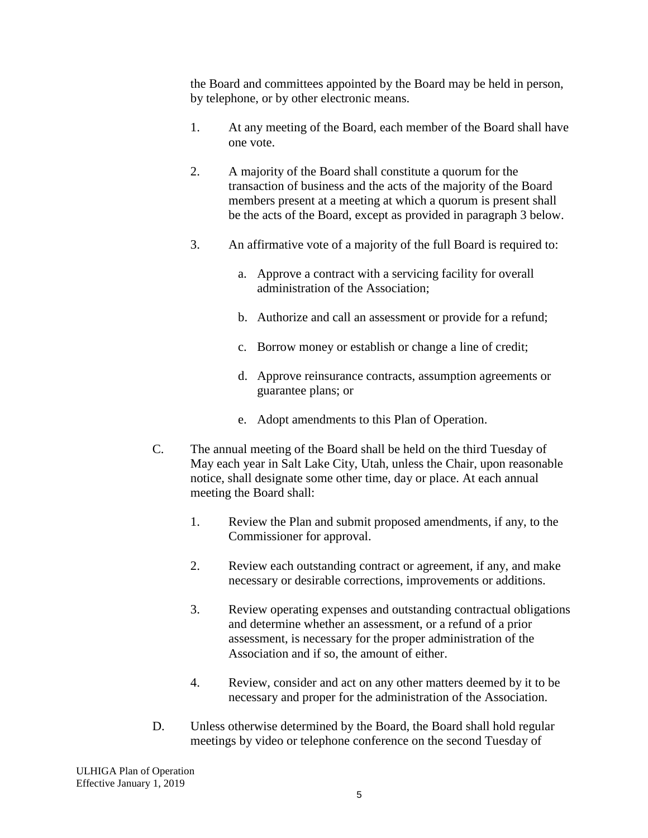the Board and committees appointed by the Board may be held in person, by telephone, or by other electronic means.

- 1. At any meeting of the Board, each member of the Board shall have one vote.
- 2. A majority of the Board shall constitute a quorum for the transaction of business and the acts of the majority of the Board members present at a meeting at which a quorum is present shall be the acts of the Board, except as provided in paragraph 3 below.
- 3. An affirmative vote of a majority of the full Board is required to:
	- a. Approve a contract with a servicing facility for overall administration of the Association;
	- b. Authorize and call an assessment or provide for a refund;
	- c. Borrow money or establish or change a line of credit;
	- d. Approve reinsurance contracts, assumption agreements or guarantee plans; or
	- e. Adopt amendments to this Plan of Operation.
- C. The annual meeting of the Board shall be held on the third Tuesday of May each year in Salt Lake City, Utah, unless the Chair, upon reasonable notice, shall designate some other time, day or place. At each annual meeting the Board shall:
	- 1. Review the Plan and submit proposed amendments, if any, to the Commissioner for approval.
	- 2. Review each outstanding contract or agreement, if any, and make necessary or desirable corrections, improvements or additions.
	- 3. Review operating expenses and outstanding contractual obligations and determine whether an assessment, or a refund of a prior assessment, is necessary for the proper administration of the Association and if so, the amount of either.
	- 4. Review, consider and act on any other matters deemed by it to be necessary and proper for the administration of the Association.
- D. Unless otherwise determined by the Board, the Board shall hold regular meetings by video or telephone conference on the second Tuesday of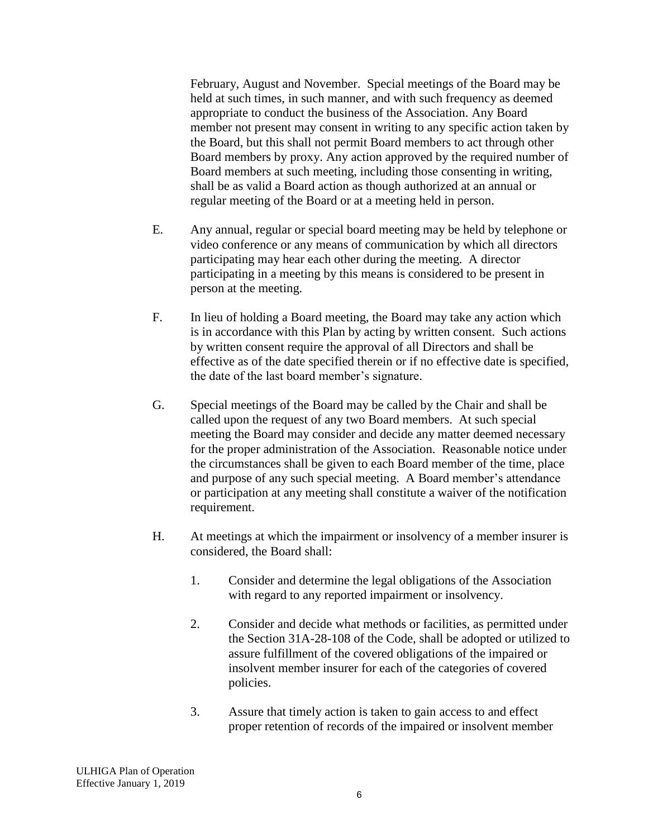February, August and November. Special meetings of the Board may be held at such times, in such manner, and with such frequency as deemed appropriate to conduct the business of the Association. Any Board member not present may consent in writing to any specific action taken by the Board, but this shall not permit Board members to act through other Board members by proxy. Any action approved by the required number of Board members at such meeting, including those consenting in writing, shall be as valid a Board action as though authorized at an annual or regular meeting of the Board or at a meeting held in person.

- E. Any annual, regular or special board meeting may be held by telephone or video conference or any means of communication by which all directors participating may hear each other during the meeting. A director participating in a meeting by this means is considered to be present in person at the meeting.
- F. In lieu of holding a Board meeting, the Board may take any action which is in accordance with this Plan by acting by written consent. Such actions by written consent require the approval of all Directors and shall be effective as of the date specified therein or if no effective date is specified, the date of the last board member's signature.
- G. Special meetings of the Board may be called by the Chair and shall be called upon the request of any two Board members. At such special meeting the Board may consider and decide any matter deemed necessary for the proper administration of the Association. Reasonable notice under the circumstances shall be given to each Board member of the time, place and purpose of any such special meeting. A Board member's attendance or participation at any meeting shall constitute a waiver of the notification requirement.
- H. At meetings at which the impairment or insolvency of a member insurer is considered, the Board shall:
	- 1. Consider and determine the legal obligations of the Association with regard to any reported impairment or insolvency.
	- 2. Consider and decide what methods or facilities, as permitted under the Section 31A-28-108 of the Code, shall be adopted or utilized to assure fulfillment of the covered obligations of the impaired or insolvent member insurer for each of the categories of covered policies.
	- 3. Assure that timely action is taken to gain access to and effect proper retention of records of the impaired or insolvent member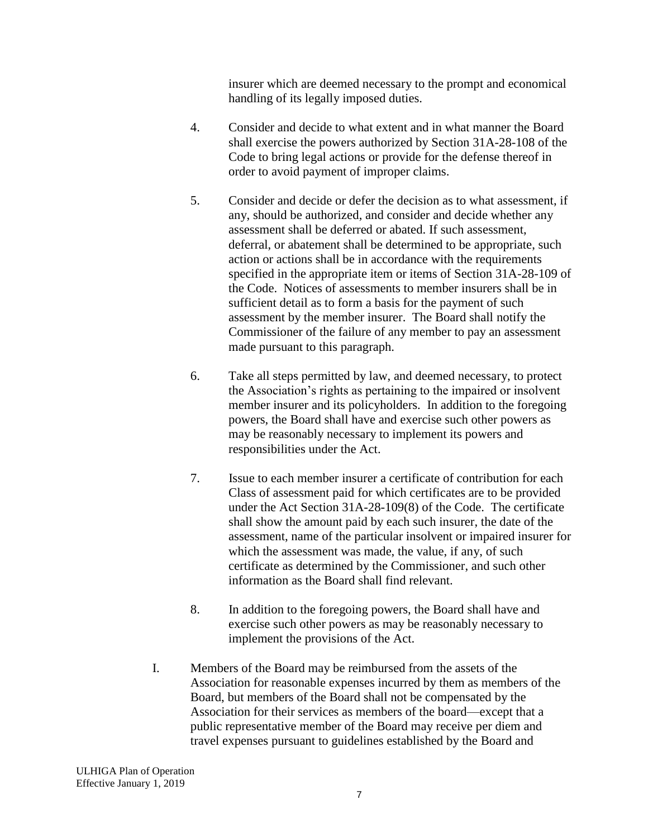insurer which are deemed necessary to the prompt and economical handling of its legally imposed duties.

- 4. Consider and decide to what extent and in what manner the Board shall exercise the powers authorized by Section 31A-28-108 of the Code to bring legal actions or provide for the defense thereof in order to avoid payment of improper claims.
- 5. Consider and decide or defer the decision as to what assessment, if any, should be authorized, and consider and decide whether any assessment shall be deferred or abated. If such assessment, deferral, or abatement shall be determined to be appropriate, such action or actions shall be in accordance with the requirements specified in the appropriate item or items of Section 31A-28-109 of the Code. Notices of assessments to member insurers shall be in sufficient detail as to form a basis for the payment of such assessment by the member insurer. The Board shall notify the Commissioner of the failure of any member to pay an assessment made pursuant to this paragraph.
- 6. Take all steps permitted by law, and deemed necessary, to protect the Association's rights as pertaining to the impaired or insolvent member insurer and its policyholders. In addition to the foregoing powers, the Board shall have and exercise such other powers as may be reasonably necessary to implement its powers and responsibilities under the Act.
- 7. Issue to each member insurer a certificate of contribution for each Class of assessment paid for which certificates are to be provided under the Act Section 31A-28-109(8) of the Code. The certificate shall show the amount paid by each such insurer, the date of the assessment, name of the particular insolvent or impaired insurer for which the assessment was made, the value, if any, of such certificate as determined by the Commissioner, and such other information as the Board shall find relevant.
- 8. In addition to the foregoing powers, the Board shall have and exercise such other powers as may be reasonably necessary to implement the provisions of the Act.
- I. Members of the Board may be reimbursed from the assets of the Association for reasonable expenses incurred by them as members of the Board, but members of the Board shall not be compensated by the Association for their services as members of the board—except that a public representative member of the Board may receive per diem and travel expenses pursuant to guidelines established by the Board and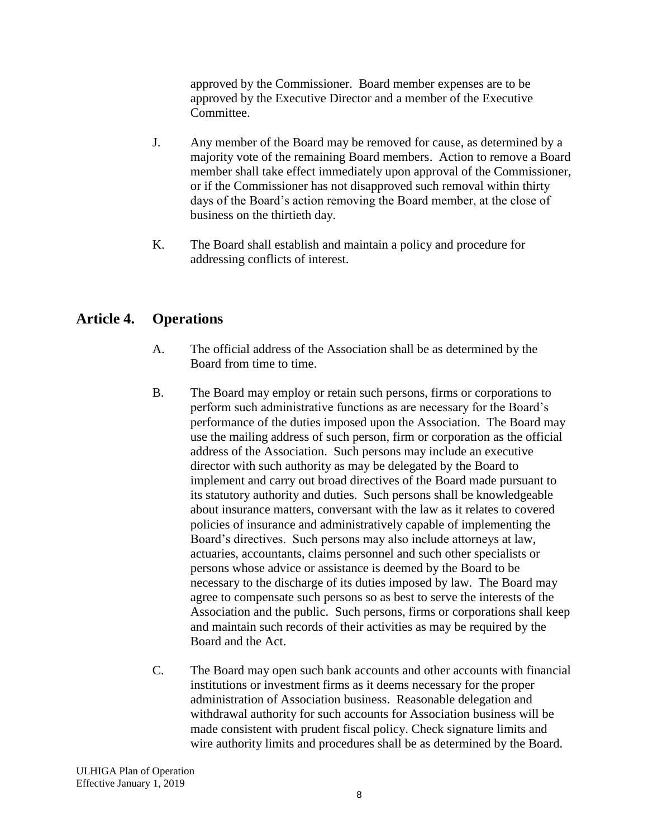approved by the Commissioner. Board member expenses are to be approved by the Executive Director and a member of the Executive Committee.

- J. Any member of the Board may be removed for cause, as determined by a majority vote of the remaining Board members. Action to remove a Board member shall take effect immediately upon approval of the Commissioner, or if the Commissioner has not disapproved such removal within thirty days of the Board's action removing the Board member, at the close of business on the thirtieth day.
- K. The Board shall establish and maintain a policy and procedure for addressing conflicts of interest.

# <span id="page-7-0"></span>**Article 4. Operations**

- A. The official address of the Association shall be as determined by the Board from time to time.
- B. The Board may employ or retain such persons, firms or corporations to perform such administrative functions as are necessary for the Board's performance of the duties imposed upon the Association. The Board may use the mailing address of such person, firm or corporation as the official address of the Association. Such persons may include an executive director with such authority as may be delegated by the Board to implement and carry out broad directives of the Board made pursuant to its statutory authority and duties. Such persons shall be knowledgeable about insurance matters, conversant with the law as it relates to covered policies of insurance and administratively capable of implementing the Board's directives. Such persons may also include attorneys at law, actuaries, accountants, claims personnel and such other specialists or persons whose advice or assistance is deemed by the Board to be necessary to the discharge of its duties imposed by law. The Board may agree to compensate such persons so as best to serve the interests of the Association and the public. Such persons, firms or corporations shall keep and maintain such records of their activities as may be required by the Board and the Act.
- C. The Board may open such bank accounts and other accounts with financial institutions or investment firms as it deems necessary for the proper administration of Association business. Reasonable delegation and withdrawal authority for such accounts for Association business will be made consistent with prudent fiscal policy. Check signature limits and wire authority limits and procedures shall be as determined by the Board.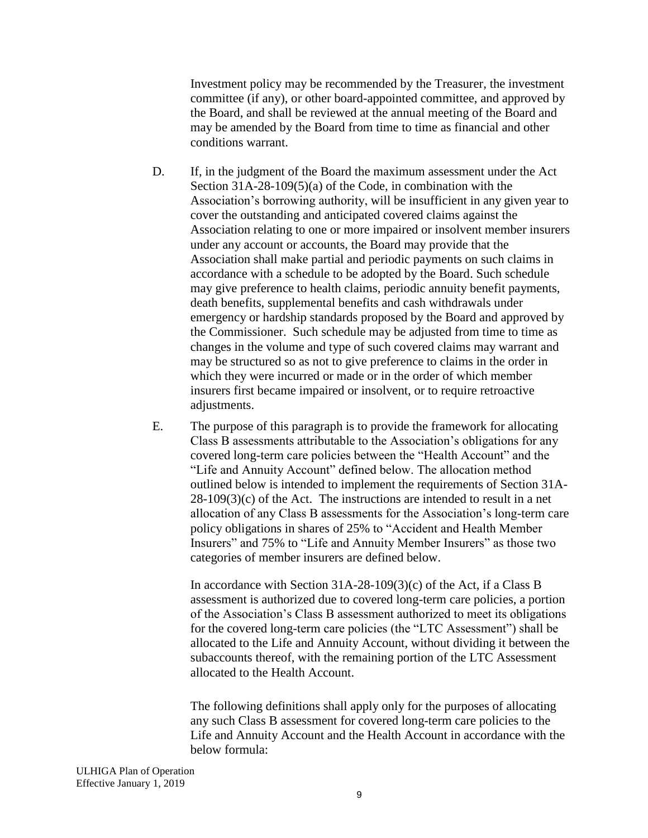Investment policy may be recommended by the Treasurer, the investment committee (if any), or other board-appointed committee, and approved by the Board, and shall be reviewed at the annual meeting of the Board and may be amended by the Board from time to time as financial and other conditions warrant.

- D. If, in the judgment of the Board the maximum assessment under the Act Section 31A-28-109(5)(a) of the Code, in combination with the Association's borrowing authority, will be insufficient in any given year to cover the outstanding and anticipated covered claims against the Association relating to one or more impaired or insolvent member insurers under any account or accounts, the Board may provide that the Association shall make partial and periodic payments on such claims in accordance with a schedule to be adopted by the Board. Such schedule may give preference to health claims, periodic annuity benefit payments, death benefits, supplemental benefits and cash withdrawals under emergency or hardship standards proposed by the Board and approved by the Commissioner. Such schedule may be adjusted from time to time as changes in the volume and type of such covered claims may warrant and may be structured so as not to give preference to claims in the order in which they were incurred or made or in the order of which member insurers first became impaired or insolvent, or to require retroactive adjustments.
- E. The purpose of this paragraph is to provide the framework for allocating Class B assessments attributable to the Association's obligations for any covered long-term care policies between the "Health Account" and the "Life and Annuity Account" defined below. The allocation method outlined below is intended to implement the requirements of Section 31A- $28-109(3)(c)$  of the Act. The instructions are intended to result in a net allocation of any Class B assessments for the Association's long-term care policy obligations in shares of 25% to "Accident and Health Member Insurers" and 75% to "Life and Annuity Member Insurers" as those two categories of member insurers are defined below.

In accordance with Section 31A-28-109(3)(c) of the Act, if a Class B assessment is authorized due to covered long-term care policies, a portion of the Association's Class B assessment authorized to meet its obligations for the covered long-term care policies (the "LTC Assessment") shall be allocated to the Life and Annuity Account, without dividing it between the subaccounts thereof, with the remaining portion of the LTC Assessment allocated to the Health Account.

The following definitions shall apply only for the purposes of allocating any such Class B assessment for covered long-term care policies to the Life and Annuity Account and the Health Account in accordance with the below formula: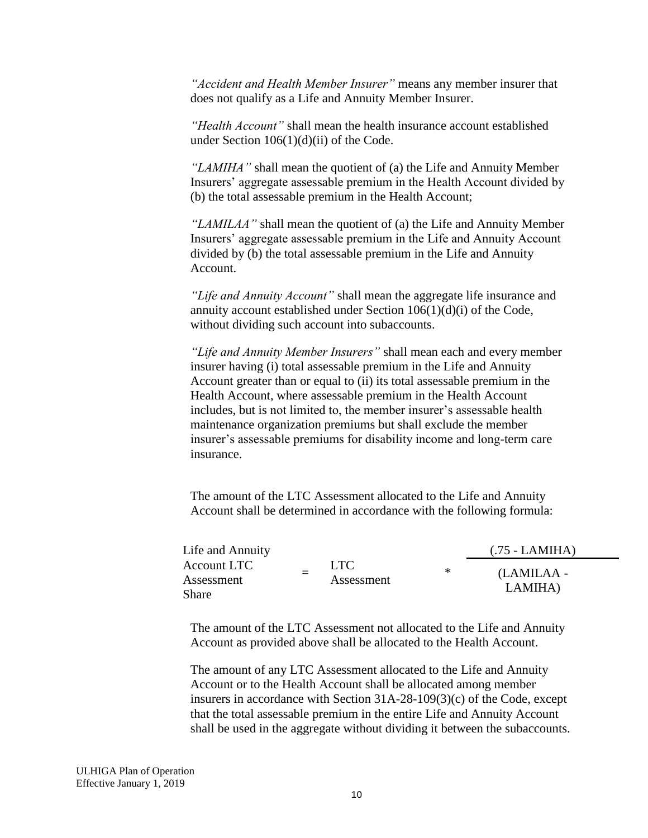*"Accident and Health Member Insurer"* means any member insurer that does not qualify as a Life and Annuity Member Insurer.

*"Health Account"* shall mean the health insurance account established under Section 106(1)(d)(ii) of the Code.

*"LAMIHA"* shall mean the quotient of (a) the Life and Annuity Member Insurers' aggregate assessable premium in the Health Account divided by (b) the total assessable premium in the Health Account;

*"LAMILAA"* shall mean the quotient of (a) the Life and Annuity Member Insurers' aggregate assessable premium in the Life and Annuity Account divided by (b) the total assessable premium in the Life and Annuity Account.

*"Life and Annuity Account"* shall mean the aggregate life insurance and annuity account established under Section 106(1)(d)(i) of the Code, without dividing such account into subaccounts.

*"Life and Annuity Member Insurers"* shall mean each and every member insurer having (i) total assessable premium in the Life and Annuity Account greater than or equal to (ii) its total assessable premium in the Health Account, where assessable premium in the Health Account includes, but is not limited to, the member insurer's assessable health maintenance organization premiums but shall exclude the member insurer's assessable premiums for disability income and long-term care insurance.

The amount of the LTC Assessment allocated to the Life and Annuity Account shall be determined in accordance with the following formula:

Life and Annuity Account LTC Assessment Share  $=$ LTC. Assessment \* (.75 - LAMIHA) (LAMILAA - LAMIHA)

The amount of the LTC Assessment not allocated to the Life and Annuity Account as provided above shall be allocated to the Health Account.

The amount of any LTC Assessment allocated to the Life and Annuity Account or to the Health Account shall be allocated among member insurers in accordance with Section 31A-28-109(3)(c) of the Code, except that the total assessable premium in the entire Life and Annuity Account shall be used in the aggregate without dividing it between the subaccounts.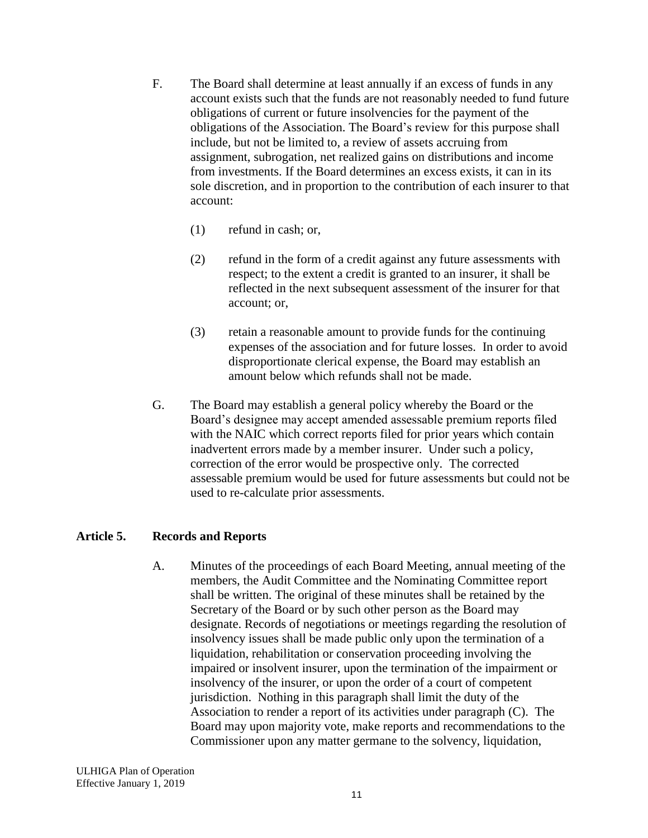- F. The Board shall determine at least annually if an excess of funds in any account exists such that the funds are not reasonably needed to fund future obligations of current or future insolvencies for the payment of the obligations of the Association. The Board's review for this purpose shall include, but not be limited to, a review of assets accruing from assignment, subrogation, net realized gains on distributions and income from investments. If the Board determines an excess exists, it can in its sole discretion, and in proportion to the contribution of each insurer to that account:
	- (1) refund in cash; or,
	- (2) refund in the form of a credit against any future assessments with respect; to the extent a credit is granted to an insurer, it shall be reflected in the next subsequent assessment of the insurer for that account; or,
	- (3) retain a reasonable amount to provide funds for the continuing expenses of the association and for future losses. In order to avoid disproportionate clerical expense, the Board may establish an amount below which refunds shall not be made.
- G. The Board may establish a general policy whereby the Board or the Board's designee may accept amended assessable premium reports filed with the NAIC which correct reports filed for prior years which contain inadvertent errors made by a member insurer. Under such a policy, correction of the error would be prospective only. The corrected assessable premium would be used for future assessments but could not be used to re-calculate prior assessments.

### <span id="page-10-0"></span>**Article 5. Records and Reports**

A. Minutes of the proceedings of each Board Meeting, annual meeting of the members, the Audit Committee and the Nominating Committee report shall be written. The original of these minutes shall be retained by the Secretary of the Board or by such other person as the Board may designate. Records of negotiations or meetings regarding the resolution of insolvency issues shall be made public only upon the termination of a liquidation, rehabilitation or conservation proceeding involving the impaired or insolvent insurer, upon the termination of the impairment or insolvency of the insurer, or upon the order of a court of competent jurisdiction. Nothing in this paragraph shall limit the duty of the Association to render a report of its activities under paragraph (C). The Board may upon majority vote, make reports and recommendations to the Commissioner upon any matter germane to the solvency, liquidation,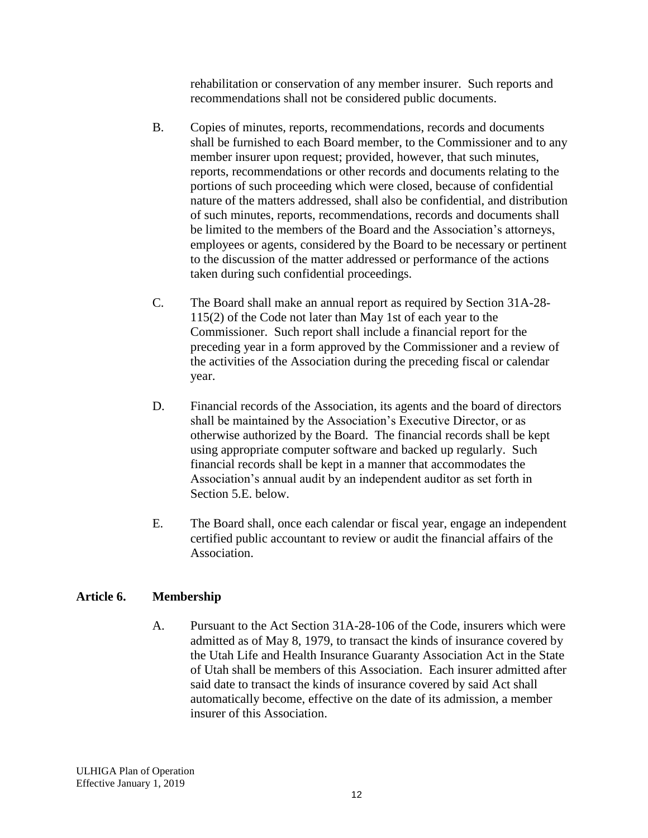rehabilitation or conservation of any member insurer. Such reports and recommendations shall not be considered public documents.

- B. Copies of minutes, reports, recommendations, records and documents shall be furnished to each Board member, to the Commissioner and to any member insurer upon request; provided, however, that such minutes, reports, recommendations or other records and documents relating to the portions of such proceeding which were closed, because of confidential nature of the matters addressed, shall also be confidential, and distribution of such minutes, reports, recommendations, records and documents shall be limited to the members of the Board and the Association's attorneys, employees or agents, considered by the Board to be necessary or pertinent to the discussion of the matter addressed or performance of the actions taken during such confidential proceedings.
- C. The Board shall make an annual report as required by Section 31A-28- 115(2) of the Code not later than May 1st of each year to the Commissioner. Such report shall include a financial report for the preceding year in a form approved by the Commissioner and a review of the activities of the Association during the preceding fiscal or calendar year.
- D. Financial records of the Association, its agents and the board of directors shall be maintained by the Association's Executive Director, or as otherwise authorized by the Board. The financial records shall be kept using appropriate computer software and backed up regularly. Such financial records shall be kept in a manner that accommodates the Association's annual audit by an independent auditor as set forth in Section 5.E. below.
- E. The Board shall, once each calendar or fiscal year, engage an independent certified public accountant to review or audit the financial affairs of the Association.

### <span id="page-11-0"></span>**Article 6. Membership**

A. Pursuant to the Act Section 31A-28-106 of the Code, insurers which were admitted as of May 8, 1979, to transact the kinds of insurance covered by the Utah Life and Health Insurance Guaranty Association Act in the State of Utah shall be members of this Association. Each insurer admitted after said date to transact the kinds of insurance covered by said Act shall automatically become, effective on the date of its admission, a member insurer of this Association.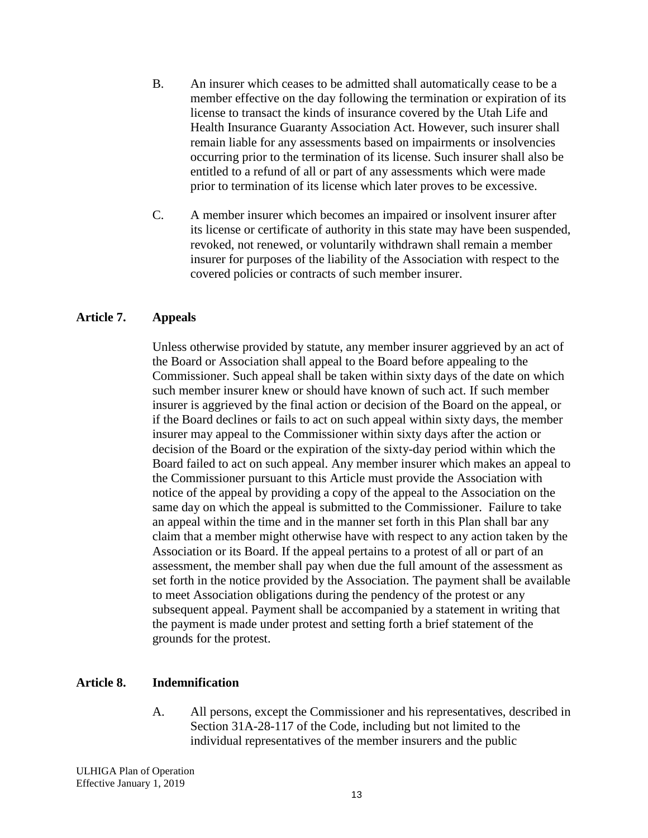- B. An insurer which ceases to be admitted shall automatically cease to be a member effective on the day following the termination or expiration of its license to transact the kinds of insurance covered by the Utah Life and Health Insurance Guaranty Association Act. However, such insurer shall remain liable for any assessments based on impairments or insolvencies occurring prior to the termination of its license. Such insurer shall also be entitled to a refund of all or part of any assessments which were made prior to termination of its license which later proves to be excessive.
- C. A member insurer which becomes an impaired or insolvent insurer after its license or certificate of authority in this state may have been suspended, revoked, not renewed, or voluntarily withdrawn shall remain a member insurer for purposes of the liability of the Association with respect to the covered policies or contracts of such member insurer.

#### <span id="page-12-0"></span>**Article 7. Appeals**

Unless otherwise provided by statute, any member insurer aggrieved by an act of the Board or Association shall appeal to the Board before appealing to the Commissioner. Such appeal shall be taken within sixty days of the date on which such member insurer knew or should have known of such act. If such member insurer is aggrieved by the final action or decision of the Board on the appeal, or if the Board declines or fails to act on such appeal within sixty days, the member insurer may appeal to the Commissioner within sixty days after the action or decision of the Board or the expiration of the sixty-day period within which the Board failed to act on such appeal. Any member insurer which makes an appeal to the Commissioner pursuant to this Article must provide the Association with notice of the appeal by providing a copy of the appeal to the Association on the same day on which the appeal is submitted to the Commissioner. Failure to take an appeal within the time and in the manner set forth in this Plan shall bar any claim that a member might otherwise have with respect to any action taken by the Association or its Board. If the appeal pertains to a protest of all or part of an assessment, the member shall pay when due the full amount of the assessment as set forth in the notice provided by the Association. The payment shall be available to meet Association obligations during the pendency of the protest or any subsequent appeal. Payment shall be accompanied by a statement in writing that the payment is made under protest and setting forth a brief statement of the grounds for the protest.

#### <span id="page-12-1"></span>**Article 8. Indemnification**

A. All persons, except the Commissioner and his representatives, described in Section 31A-28-117 of the Code, including but not limited to the individual representatives of the member insurers and the public

ULHIGA Plan of Operation Effective January 1, 2019